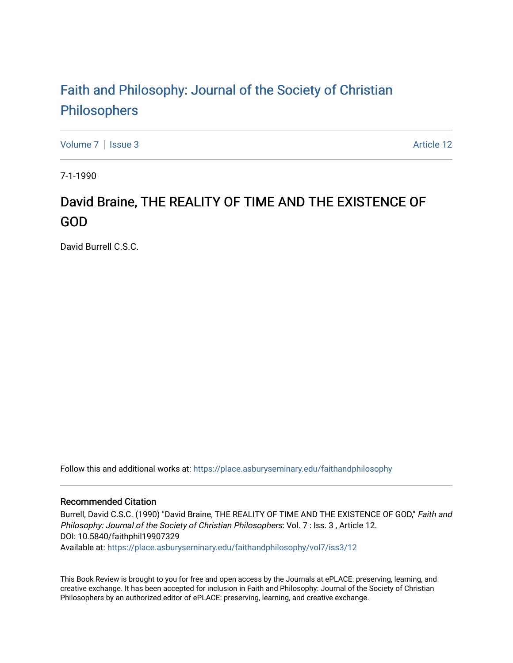## [Faith and Philosophy: Journal of the Society of Christian](https://place.asburyseminary.edu/faithandphilosophy)  [Philosophers](https://place.asburyseminary.edu/faithandphilosophy)

[Volume 7](https://place.asburyseminary.edu/faithandphilosophy/vol7) | [Issue 3](https://place.asburyseminary.edu/faithandphilosophy/vol7/iss3) Article 12

7-1-1990

## David Braine, THE REALITY OF TIME AND THE EXISTENCE OF GOD

David Burrell C.S.C.

Follow this and additional works at: [https://place.asburyseminary.edu/faithandphilosophy](https://place.asburyseminary.edu/faithandphilosophy?utm_source=place.asburyseminary.edu%2Ffaithandphilosophy%2Fvol7%2Fiss3%2F12&utm_medium=PDF&utm_campaign=PDFCoverPages)

## Recommended Citation

Burrell, David C.S.C. (1990) "David Braine, THE REALITY OF TIME AND THE EXISTENCE OF GOD," Faith and Philosophy: Journal of the Society of Christian Philosophers: Vol. 7 : Iss. 3 , Article 12. DOI: 10.5840/faithphil19907329

Available at: [https://place.asburyseminary.edu/faithandphilosophy/vol7/iss3/12](https://place.asburyseminary.edu/faithandphilosophy/vol7/iss3/12?utm_source=place.asburyseminary.edu%2Ffaithandphilosophy%2Fvol7%2Fiss3%2F12&utm_medium=PDF&utm_campaign=PDFCoverPages)

This Book Review is brought to you for free and open access by the Journals at ePLACE: preserving, learning, and creative exchange. It has been accepted for inclusion in Faith and Philosophy: Journal of the Society of Christian Philosophers by an authorized editor of ePLACE: preserving, learning, and creative exchange.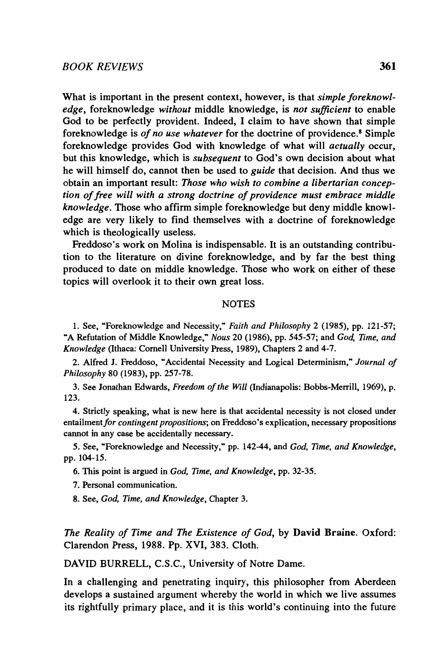What is important in the present context, however, is that *simple foreknowledge,* foreknowledge *without* middle knowledge, is *not sufficient* to enable God to be perfectly provident. Indeed, I claim to have shown that simple foreknowledge is *of no use whatever* for the doctrine of providence.8 Simple foreknowledge provides God with knowledge of what will *actually* occur, but this knowledge, which is *subsequent* to God's own decision about what he will himself do, cannot then be used to *guide* that decision. And thus we obtain an important result: *Those who wish to combine a libertarian conception of free will with a strong doctrine of providence must embrace middle knowledge.* Those who affirm simple foreknowledge but deny middle knowledge are very likely to find themselves with a doctrine of foreknowledge which is theologically useless.

Freddoso's work on Molina is indispensable. It is an outstanding contribution to the literature on divine foreknowledge, and by far the best thing produced to date on middle knowledge. Those who work on either of these topics will overlook it to their own great loss.

## **NOTES**

1. See, ~Foreknowledge and Necessity," *Faith and Philosophy* 2 (1985), pp. 121-57; ~A Refutation of Middle Knowledge," *Nous* 20 (1986), pp. 545-57; and *God, Time, and Knowledge* (Ithaca: Cornell University Press, 1989), Chapters 2 and 4-7.

2. Alfred I. Freddoso, ~Accidental Necessity and Logical Detenninism," *Journal of Philosophy* 80 (1983), pp. 257-78.

3. See Jonathan Edwards, *Freedom of the Will* (Indianapolis: Bobbs-Merrill, 1969), p. 123.

4. Strictly speaking, what is new here is that accidental necessity is not closed under *entailmentfor contingent propositions;* on Freddoso's explication, necessary propositions cannot in any case be accidentally necessary.

5. See, "Foreknowledge and Necessity," pp. 142-44, and *God, Time, and Knowledge*, pp.104-15.

6. This point is argued in *God. Time, and Knowledge,* pp. 32-35.

7. Personal communication.

8. See, *God, Time. and Knowledge,* Chapter 3.

*The Reality of Time and The Existence of God,* by David Braine. Oxford: Clarendon Press, 1988. Pp. XVI, 383. Cloth.

DAVID BURRELL, C.S.C., University of Notre Dame.

In a challenging and penetrating inquiry, this philosopher from Aberdeen develops a sustained argument whereby the world in which we live assumes its rightfully primary place, and it is this world's continuing into the future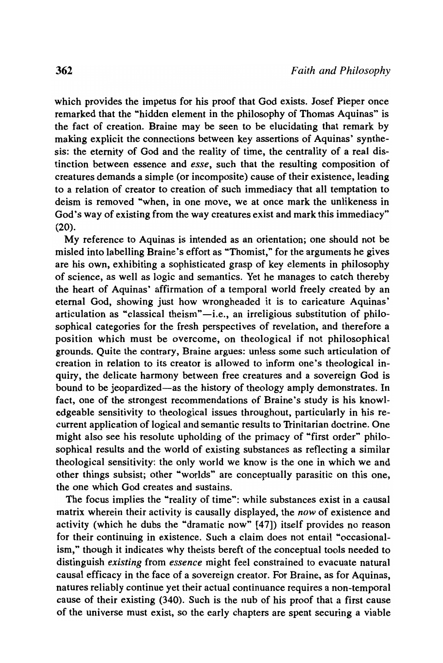which provides the impetus for his proof that God exists. Josef Pieper once remarked that the "hidden element in the philosophy of Thomas Aquinas" is the fact of creation. Braine may be seen to be elucidating that remark by making explicit the connections between key assertions of Aquinas' synthesis: the eternity of God and the reality of time, the centrality of a real distinction between essence and *esse,* such that the resulting composition of creatures demands a simple (or incomposite) cause of their existence, leading to a relation of creator to creation of such immediacy that all temptation to deism is removed "when, in one move, we at once mark the unlikeness in God's way of existing from the way creatures exist and mark this immediacy" (20).

My reference to Aquinas is intended as an orientation; one should not be misled into labelling Braine's effort as "Thomist," for the arguments he gives are his own, exhibiting a sophisticated grasp of key elements in philosophy of science, as well as logic and semantics. Yet he manages to catch thereby the heart of Aquinas' affirmation of a temporal world freely created by an eternal God, showing just how wrongheaded it is to caricature Aquinas' articulation as "classical theism"-i.e., an irreligious substitution of philosophical categories for the fresh perspectives of revelation, and therefore a position which must be overcome, on theological if not philosophical grounds. Quite the contrary, Braine argues: unless some such articulation of creation in relation to its creator is allowed to inform one's theological inquiry, the delicate harmony between free creatures and a sovereign God is bound to be jeopardized—as the history of theology amply demonstrates. In fact, one of the strongest recommendations of Braine's study is his knowledgeable sensitivity to theological issues throughout, particularly in his recurrent application of logical and semantic results to Trinitarian doctrine. One might also see his resolute upholding of the primacy of "first order" philosophical results and the world of existing substances as reflecting a similar theological sensitivity: the only world we know is the one in which we and other things subsist; other "worlds" are conceptually parasitic on this one, the one which God creates and sustains.

The focus implies the "reality of time": while substances exist in a causal matrix wherein their activity is causally displayed, the *now* of existence and activity (which he dubs the "dramatic now" [47]) itself provides no reason for their continuing in existence. Such a claim does not entail "occasionalism," though it indicates why theists bereft of the conceptual tools needed to distinguish *existing* from *essence* might feel constrained to evacuate natural causal efficacy in the face of a sovereign creator. For Braine, as for Aquinas, natures reliably continue yet their actual continuance requires a non-temporal cause of their existing (340). Such is the nub of his proof that a first cause of the universe must exist, so the early chapters are spent securing a viable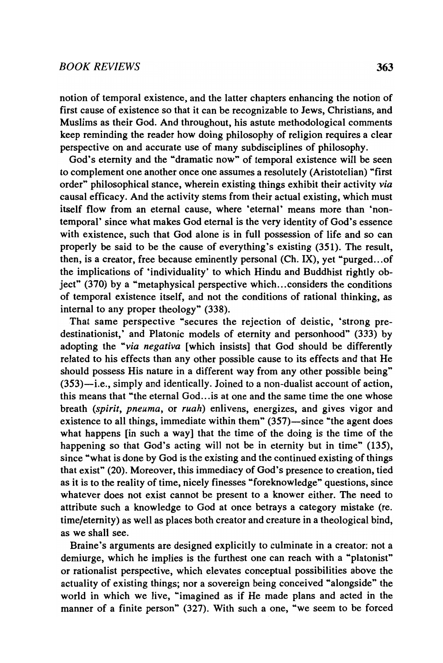notion of temporal existence, and the latter chapters enhancing the notion of first cause of existence so that it can be recognizable to Jews, Christians, and Muslims as their God. And throughout, his astute methodological comments keep reminding the reader how doing philosophy of religion requires a clear perspective on and accurate use of many subdisciplines of philosophy.

God's eternity and the "dramatic now" of temporal existence will be seen to complement one another once one assumes a resolutely (Aristotelian) "first order" philosophical stance, wherein existing things exhibit their activity *via*  causal efficacy. And the activity stems from their actual existing, which must itself flow from an eternal cause, where 'eternal' means more than 'nontemporal' since what makes God eternal is the very identity of God's essence with existence, such that God alone is in full possession of life and so can properly be said to be the cause of everything's existing (351). The result, then, is a creator, free because eminently personal (Ch. IX), yet "purged...of the implications of 'individuality' to which Hindu and Buddhist rightly object" (370) by a "metaphysical perspective which ... considers the conditions of temporal existence itself, and not the conditions of rational thinking, as internal to any proper theology" (338).

That same perspective "secures the rejection of deistic, 'strong predestinationist,' and Platonic models of eternity and personhood" (333) by adopting the *"via negativa* [which insists] that God should be differently related to his effects than any other possible cause to its effects and that He should possess His nature in a different way from any other possible being"  $(353)$ —i.e., simply and identically. Joined to a non-dualist account of action, this means that "the eternal God... is at one and the same time the one whose breath *(spirit, pneuma,* or *ruah)* enlivens, energizes, and gives vigor and existence to all things, immediate within them"  $(357)$ —since "the agent does what happens [in such a way] that the time of the doing is the time of the happening so that God's acting will not be in eternity but in time" (135), since "what is done by God is the existing and the continued existing of things that exist" (20). Moreover, this immediacy of God's presence to creation, tied as it is to the reality of time, nicely finesses "foreknowledge" questions, since whatever does not exist cannot be present to a knower either. The need to attribute such a knowledge to God at once betrays a category mistake (re. time/eternity) as well as places both creator and creature in a theological bind, as we shall see.

Braine's arguments are designed explicitly to culminate in a creator: not a demiurge, which he implies is the furthest one can reach with a "platonist" or rationalist perspective, which elevates conceptual possibilities above the actuality of existing things; nor a sovereign being conceived "alongside" the world in which we live, "imagined as if He made plans and acted in the manner of a finite person" (327). With such a one, "we seem to be forced